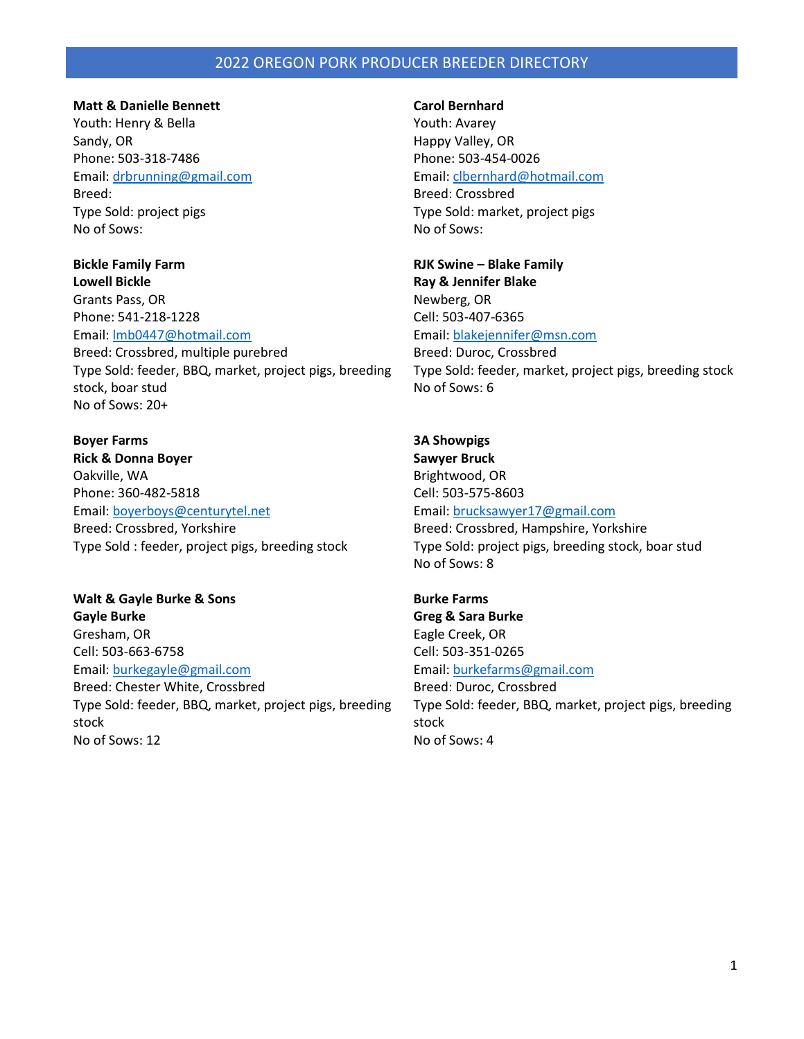### **Matt & Danielle Bennett**

Youth: Henry & Bella Sandy, OR Phone: 503-318-7486 Email[: drb](mailto:jemmbennett@hotmail.com)running@gmail.com Breed: Type Sold: project pigs No of Sows:

**Bickle Family Farm Lowell Bickle** Grants Pass, OR Phone: 541-218-1228 Email[: lmb0447@hotmail.com](mailto:lmb0447@hotmail.com) Breed: Crossbred, multiple purebred Type Sold: feeder, BBQ, market, project pigs, breeding stock, boar stud No of Sows: 20+

**Boyer Farms Rick & Donna Boyer** Oakville, WA Phone: 360-482-5818 Email[: boyerboys@centurytel.net](mailto:boyerboys@centurytel.net) Breed: Crossbred, Yorkshire Type Sold : feeder, project pigs, breeding stock

**Walt & Gayle Burke & Sons Gayle Burke** Gresham, OR Cell: 503-663-6758 Email[: burkegayle@gmail.com](mailto:burkegayle@gmail.com) Breed: Chester White, Crossbred Type Sold: feeder, BBQ, market, project pigs, breeding stock No of Sows: 12

## **Carol Bernhard**

Youth: Avarey Happy Valley, OR Phone: 503-454-0026 Email: [clbernhard@hotmail.com](mailto:clbernhard@hotmail.com) Breed: Crossbred Type Sold: market, project pigs No of Sows:

**RJK Swine – Blake Family Ray & Jennifer Blake** Newberg, OR Cell: 503-407-6365 Email: [blakejennifer@msn.com](mailto:blakejennifer@msn.com) Breed: Duroc, Crossbred Type Sold: feeder, market, project pigs, breeding stock No of Sows: 6

**3A Showpigs Sawyer Bruck** Brightwood, OR Cell: 503-575-8603 Email: [brucksawyer17@gmail.com](mailto:brucksawyer17@gmail.com) Breed: Crossbred, Hampshire, Yorkshire Type Sold: project pigs, breeding stock, boar stud No of Sows: 8

**Burke Farms Greg & Sara Burke** Eagle Creek, OR Cell: 503-351-0265 Email: [burkefarms@gmail.com](mailto:burkefarms@gmail.com) Breed: Duroc, Crossbred Type Sold: feeder, BBQ, market, project pigs, breeding stock No of Sows: 4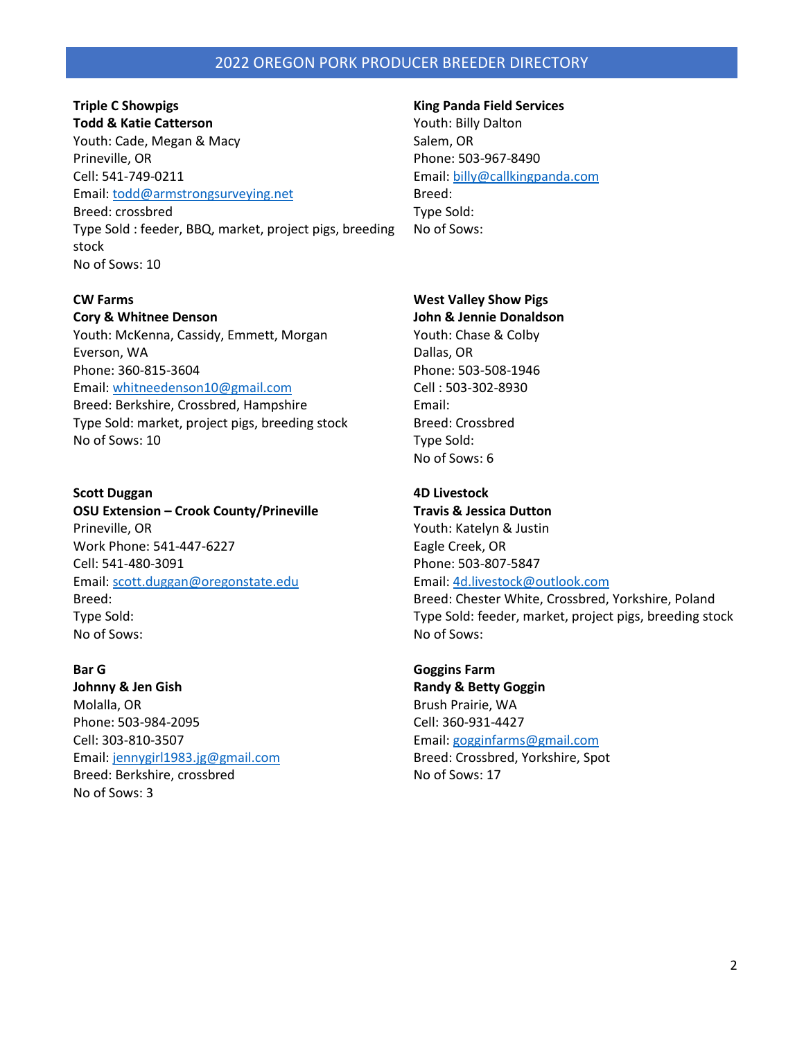## **Triple C Showpigs Todd & Katie Catterson**

Youth: Cade, Megan & Macy Prineville, OR Cell: 541-749-0211 Email[: todd@armstrongsurveying.net](mailto:todd@armstrongsurveying.net) Breed: crossbred Type Sold : feeder, BBQ, market, project pigs, breeding stock

No of Sows: 10

# **CW Farms**

**Cory & Whitnee Denson**

Youth: McKenna, Cassidy, Emmett, Morgan Everson, WA Phone: 360-815-3604 Email[: whitneedenson10@gmail.com](mailto:whitneedenson10@gmail.com) Breed: Berkshire, Crossbred, Hampshire Type Sold: market, project pigs, breeding stock No of Sows: 10

## **Scott Duggan**

**OSU Extension – Crook County/Prineville** Prineville, OR Work Phone: 541-447-6227 Cell: 541-480-3091 Email[: scott.duggan@oregonstate.edu](mailto:scott.duggan@oregonstate.edu) Breed: Type Sold: No of Sows:

## **Bar G**

**Johnny & Jen Gish** Molalla, OR Phone: 503-984-2095 Cell: 303-810-3507 Email[: jennygirl1983.jg@gmail.com](mailto:jennygirl1983.jg@gmail.com) Breed: Berkshire, crossbred No of Sows: 3

### **King Panda Field Services**

Youth: Billy Dalton Salem, OR Phone: 503-967-8490 Email: [billy@callkingpanda.com](mailto:billy@callkingpanda.com) Breed: Type Sold: No of Sows:

# **West Valley Show Pigs**

**John & Jennie Donaldson** Youth: Chase & Colby Dallas, OR Phone: 503-508-1946 Cell : 503-302-8930 Email: Breed: Crossbred Type Sold: No of Sows: 6

## **4D Livestock**

**Travis & Jessica Dutton** Youth: Katelyn & Justin Eagle Creek, OR Phone: 503-807-5847 Email: [4d.livestock@outlook.com](mailto:4d.livestock@outlook.com)

Breed: Chester White, Crossbred, Yorkshire, Poland Type Sold: feeder, market, project pigs, breeding stock No of Sows:

**Goggins Farm Randy & Betty Goggin** Brush Prairie, WA Cell: 360-931-4427 Email: [gogginfarms@gmail.com](mailto:gogginfarms@gmail.com) Breed: Crossbred, Yorkshire, Spot No of Sows: 17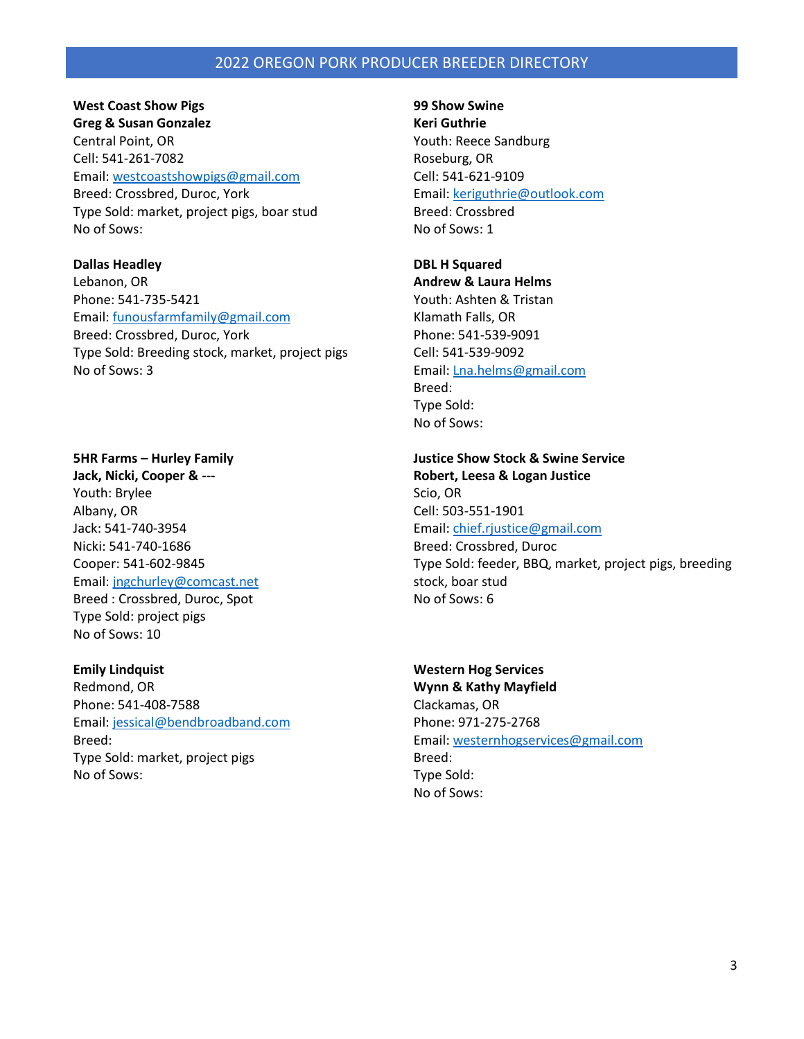### **West Coast Show Pigs**

**Greg & Susan Gonzalez** Central Point, OR Cell: 541-261-7082 Email[: westcoastshowpigs@gmail.com](mailto:westcoastshowpigs@gmail.com) Breed: Crossbred, Duroc, York Type Sold: market, project pigs, boar stud No of Sows:

**Dallas Headley** Lebanon, OR Phone: 541-735-5421 Email[: funousfarmfamily@gmail.com](mailto:funousfarmfamily@gmail.com) Breed: Crossbred, Duroc, York Type Sold: Breeding stock, market, project pigs No of Sows: 3

**5HR Farms – Hurley Family Jack, Nicki, Cooper & ---** Youth: Brylee Albany, OR Jack: 541-740-3954 Nicki: 541-740-1686 Cooper: 541-602-9845 Email[: jngchurley@comcast.net](mailto:jngchurley@comcast.net) Breed : Crossbred, Duroc, Spot Type Sold: project pigs No of Sows: 10

**Emily Lindquist** Redmond, OR Phone: 541-408-7588 Email[: jessical@bendbroadband.com](mailto:jessical@bendbroadband.com) Breed: Type Sold: market, project pigs No of Sows:

**99 Show Swine Keri Guthrie** Youth: Reece Sandburg Roseburg, OR Cell: 541-621-9109 Email: [keriguthrie@outlook.com](mailto:keriguthrie@outlook.com) Breed: Crossbred No of Sows: 1

### **DBL H Squared Andrew & Laura Helms**

Youth: Ashten & Tristan Klamath Falls, OR Phone: 541-539-9091 Cell: 541-539-9092 Email: [Lna.helms@gmail.com](mailto:Lna.helms@gmail.com) Breed: Type Sold: No of Sows:

**Justice Show Stock & Swine Service Robert, Leesa & Logan Justice** Scio, OR Cell: 503-551-1901 Email: [chief.rjustice@gmail.com](mailto:chief.rjustice@gmail.com) Breed: Crossbred, Duroc Type Sold: feeder, BBQ, market, project pigs, breeding stock, boar stud No of Sows: 6

# **Western Hog Services**

**Wynn & Kathy Mayfield** Clackamas, OR Phone: 971-275-2768 Email: [westernhogservices@gmail.com](mailto:westernhogservices@gmail.com) Breed: Type Sold: No of Sows: